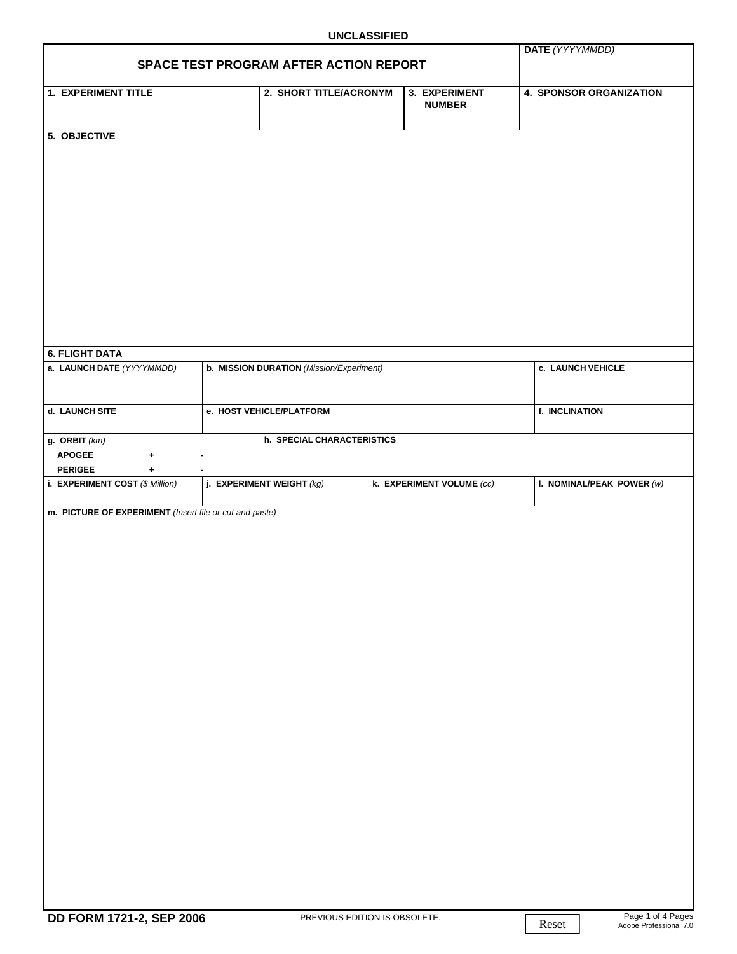## **UNCLASSIFIED**

| SPACE TEST PROGRAM AFTER ACTION REPORT                  | DATE (YYYYMMDD)          |                                          |  |                                |                                |
|---------------------------------------------------------|--------------------------|------------------------------------------|--|--------------------------------|--------------------------------|
|                                                         |                          |                                          |  |                                |                                |
| <b>1. EXPERIMENT TITLE</b>                              |                          | 2. SHORT TITLE/ACRONYM                   |  | 3. EXPERIMENT<br><b>NUMBER</b> | <b>4. SPONSOR ORGANIZATION</b> |
| 5. OBJECTIVE                                            |                          |                                          |  |                                |                                |
|                                                         |                          |                                          |  |                                |                                |
|                                                         |                          |                                          |  |                                |                                |
|                                                         |                          |                                          |  |                                |                                |
|                                                         |                          |                                          |  |                                |                                |
|                                                         |                          |                                          |  |                                |                                |
|                                                         |                          |                                          |  |                                |                                |
|                                                         |                          |                                          |  |                                |                                |
|                                                         |                          |                                          |  |                                |                                |
|                                                         |                          |                                          |  |                                |                                |
|                                                         |                          |                                          |  |                                |                                |
|                                                         |                          |                                          |  |                                |                                |
|                                                         |                          |                                          |  |                                |                                |
|                                                         |                          |                                          |  |                                |                                |
| <b>6. FLIGHT DATA</b>                                   |                          |                                          |  |                                |                                |
| a. LAUNCH DATE (YYYYMMDD)                               |                          | b. MISSION DURATION (Mission/Experiment) |  |                                | c. LAUNCH VEHICLE              |
|                                                         |                          |                                          |  |                                |                                |
| d. LAUNCH SITE                                          | e. HOST VEHICLE/PLATFORM |                                          |  |                                | f. INCLINATION                 |
|                                                         |                          |                                          |  |                                |                                |
| g. ORBIT $(km)$                                         |                          | h. SPECIAL CHARACTERISTICS               |  |                                |                                |
| <b>APOGEE</b><br>$\ddag$                                |                          |                                          |  |                                |                                |
| <b>PERIGEE</b><br>$\ddot{\phantom{1}}$                  |                          |                                          |  |                                |                                |
| i. EXPERIMENT COST (\$ Million)                         |                          | j. EXPERIMENT WEIGHT $(kg)$              |  | k. EXPERIMENT VOLUME (cc)      | I. NOMINAL/PEAK POWER $(w)$    |
| m. PICTURE OF EXPERIMENT (Insert file or cut and paste) |                          |                                          |  |                                |                                |
|                                                         |                          |                                          |  |                                |                                |
|                                                         |                          |                                          |  |                                |                                |
|                                                         |                          |                                          |  |                                |                                |
|                                                         |                          |                                          |  |                                |                                |
|                                                         |                          |                                          |  |                                |                                |
|                                                         |                          |                                          |  |                                |                                |
|                                                         |                          |                                          |  |                                |                                |
|                                                         |                          |                                          |  |                                |                                |
|                                                         |                          |                                          |  |                                |                                |
|                                                         |                          |                                          |  |                                |                                |
|                                                         |                          |                                          |  |                                |                                |
|                                                         |                          |                                          |  |                                |                                |
|                                                         |                          |                                          |  |                                |                                |
|                                                         |                          |                                          |  |                                |                                |
|                                                         |                          |                                          |  |                                |                                |
|                                                         |                          |                                          |  |                                |                                |
|                                                         |                          |                                          |  |                                |                                |
|                                                         |                          |                                          |  |                                |                                |
|                                                         |                          |                                          |  |                                |                                |
|                                                         |                          |                                          |  |                                |                                |
|                                                         |                          |                                          |  |                                |                                |
|                                                         |                          |                                          |  |                                |                                |
|                                                         |                          |                                          |  |                                |                                |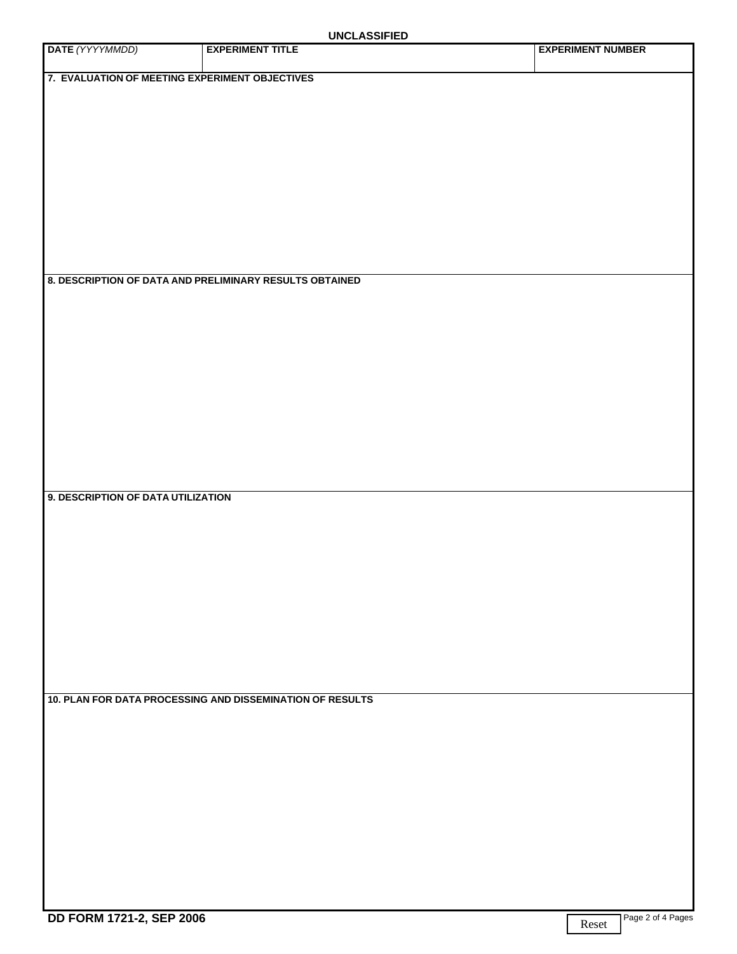| DATE (YYYYMMDD)                                | <b>UNULAUUIL ILD</b><br><b>EXPERIMENT TITLE</b>           | <b>EXPERIMENT NUMBER</b> |
|------------------------------------------------|-----------------------------------------------------------|--------------------------|
| 7. EVALUATION OF MEETING EXPERIMENT OBJECTIVES |                                                           |                          |
|                                                |                                                           |                          |
|                                                |                                                           |                          |
|                                                |                                                           |                          |
|                                                |                                                           |                          |
|                                                |                                                           |                          |
|                                                |                                                           |                          |
|                                                |                                                           |                          |
|                                                | 8. DESCRIPTION OF DATA AND PRELIMINARY RESULTS OBTAINED   |                          |
|                                                |                                                           |                          |
|                                                |                                                           |                          |
|                                                |                                                           |                          |
|                                                |                                                           |                          |
|                                                |                                                           |                          |
|                                                |                                                           |                          |
|                                                |                                                           |                          |
|                                                |                                                           |                          |
| 9. DESCRIPTION OF DATA UTILIZATION             |                                                           |                          |
|                                                |                                                           |                          |
|                                                |                                                           |                          |
|                                                |                                                           |                          |
|                                                |                                                           |                          |
|                                                |                                                           |                          |
|                                                |                                                           |                          |
|                                                |                                                           |                          |
|                                                | 10. PLAN FOR DATA PROCESSING AND DISSEMINATION OF RESULTS |                          |
|                                                |                                                           |                          |
|                                                |                                                           |                          |
|                                                |                                                           |                          |
|                                                |                                                           |                          |
|                                                |                                                           |                          |
|                                                |                                                           |                          |
|                                                |                                                           |                          |
|                                                |                                                           |                          |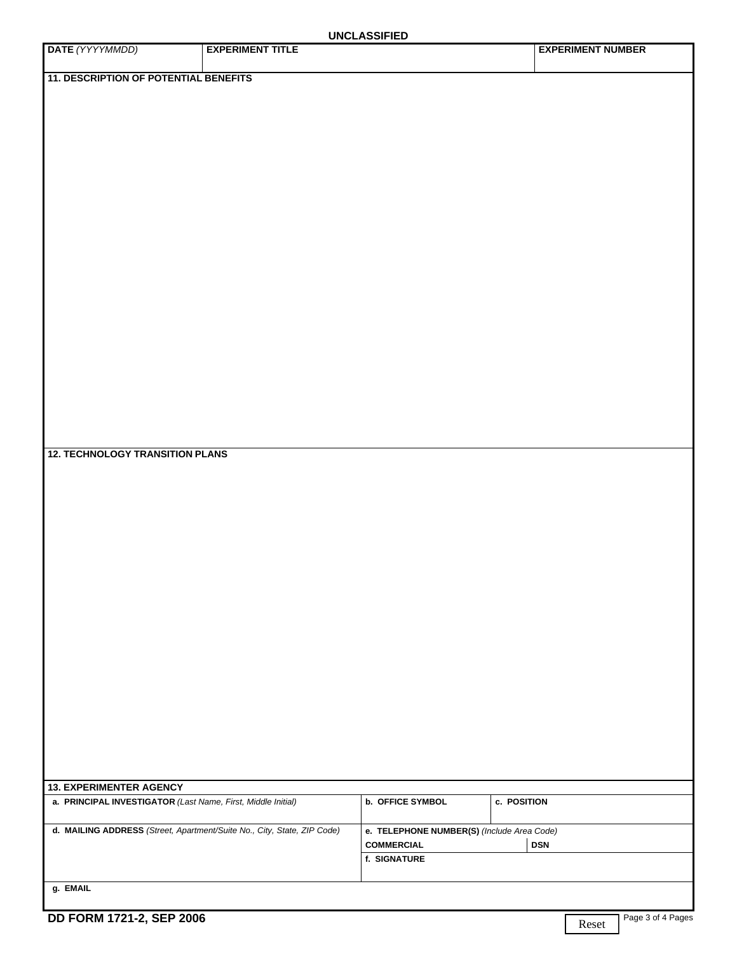## **UNCLASSIFIED**

|                                                                         |                         | <b>UNCLASSIFIED</b>                        |                          |
|-------------------------------------------------------------------------|-------------------------|--------------------------------------------|--------------------------|
| DATE (YYYYMMDD)                                                         | <b>EXPERIMENT TITLE</b> |                                            | <b>EXPERIMENT NUMBER</b> |
|                                                                         |                         |                                            |                          |
| <b>11. DESCRIPTION OF POTENTIAL BENEFITS</b>                            |                         |                                            |                          |
|                                                                         |                         |                                            |                          |
|                                                                         |                         |                                            |                          |
|                                                                         |                         |                                            |                          |
|                                                                         |                         |                                            |                          |
|                                                                         |                         |                                            |                          |
|                                                                         |                         |                                            |                          |
|                                                                         |                         |                                            |                          |
|                                                                         |                         |                                            |                          |
|                                                                         |                         |                                            |                          |
|                                                                         |                         |                                            |                          |
|                                                                         |                         |                                            |                          |
|                                                                         |                         |                                            |                          |
|                                                                         |                         |                                            |                          |
|                                                                         |                         |                                            |                          |
|                                                                         |                         |                                            |                          |
|                                                                         |                         |                                            |                          |
|                                                                         |                         |                                            |                          |
|                                                                         |                         |                                            |                          |
|                                                                         |                         |                                            |                          |
|                                                                         |                         |                                            |                          |
|                                                                         |                         |                                            |                          |
|                                                                         |                         |                                            |                          |
|                                                                         |                         |                                            |                          |
|                                                                         |                         |                                            |                          |
|                                                                         |                         |                                            |                          |
|                                                                         |                         |                                            |                          |
|                                                                         |                         |                                            |                          |
|                                                                         |                         |                                            |                          |
|                                                                         |                         |                                            |                          |
|                                                                         |                         |                                            |                          |
|                                                                         |                         |                                            |                          |
| <b>12. TECHNOLOGY TRANSITION PLANS</b>                                  |                         |                                            |                          |
|                                                                         |                         |                                            |                          |
|                                                                         |                         |                                            |                          |
|                                                                         |                         |                                            |                          |
|                                                                         |                         |                                            |                          |
|                                                                         |                         |                                            |                          |
|                                                                         |                         |                                            |                          |
|                                                                         |                         |                                            |                          |
|                                                                         |                         |                                            |                          |
|                                                                         |                         |                                            |                          |
|                                                                         |                         |                                            |                          |
|                                                                         |                         |                                            |                          |
|                                                                         |                         |                                            |                          |
|                                                                         |                         |                                            |                          |
|                                                                         |                         |                                            |                          |
|                                                                         |                         |                                            |                          |
|                                                                         |                         |                                            |                          |
|                                                                         |                         |                                            |                          |
|                                                                         |                         |                                            |                          |
|                                                                         |                         |                                            |                          |
|                                                                         |                         |                                            |                          |
|                                                                         |                         |                                            |                          |
|                                                                         |                         |                                            |                          |
|                                                                         |                         |                                            |                          |
|                                                                         |                         |                                            |                          |
|                                                                         |                         |                                            |                          |
|                                                                         |                         |                                            |                          |
|                                                                         |                         |                                            |                          |
| <b>13. EXPERIMENTER AGENCY</b>                                          |                         |                                            |                          |
| a. PRINCIPAL INVESTIGATOR (Last Name, First, Middle Initial)            |                         | <b>b. OFFICE SYMBOL</b>                    | c. POSITION              |
|                                                                         |                         |                                            |                          |
| d. MAILING ADDRESS (Street, Apartment/Suite No., City, State, ZIP Code) |                         | e. TELEPHONE NUMBER(S) (Include Area Code) |                          |
|                                                                         |                         |                                            |                          |
|                                                                         |                         | <b>COMMERCIAL</b>                          | <b>DSN</b>               |
|                                                                         |                         | f. SIGNATURE                               |                          |
|                                                                         |                         |                                            |                          |
| g. EMAIL                                                                |                         |                                            |                          |
|                                                                         |                         |                                            |                          |